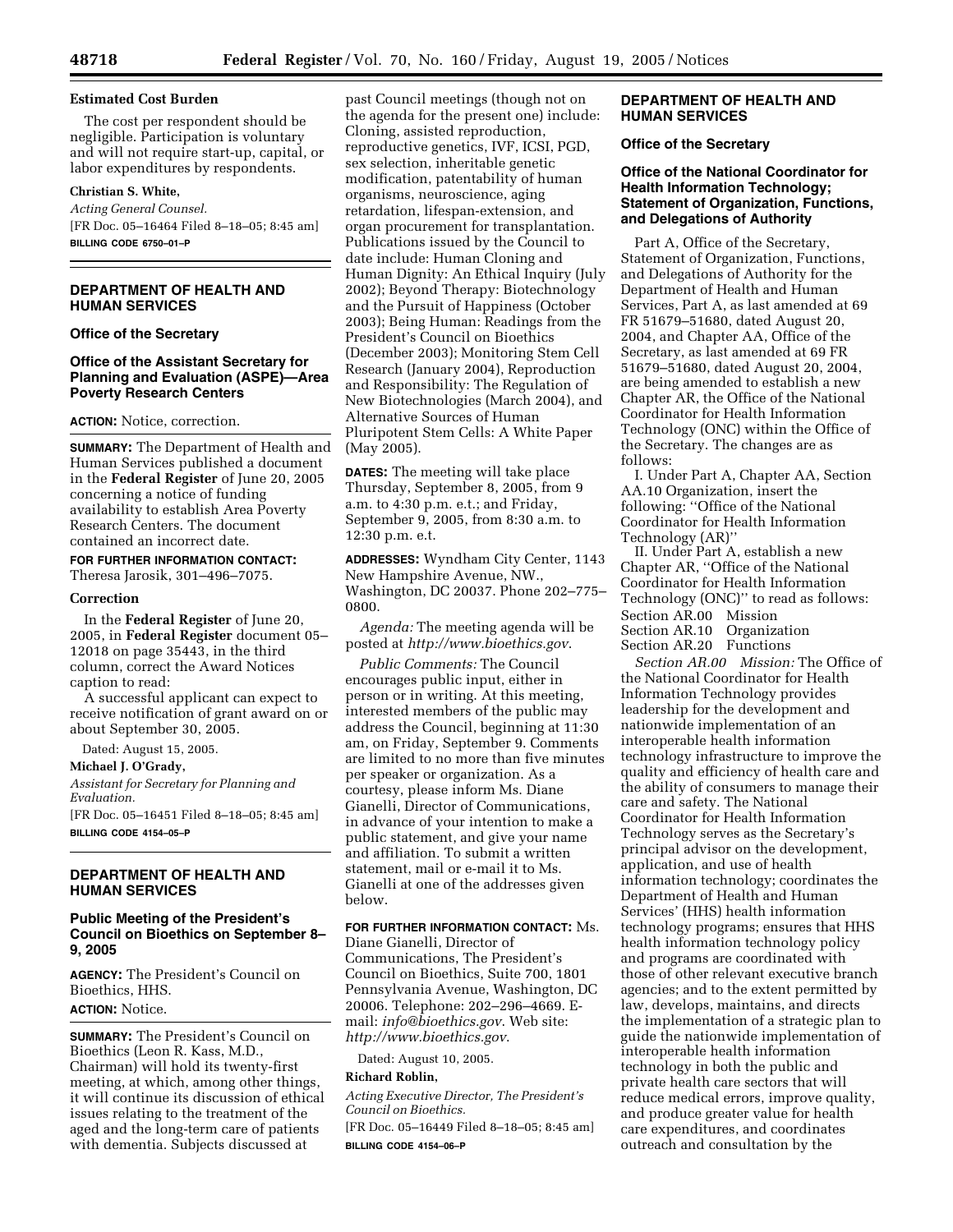### **Estimated Cost Burden**

The cost per respondent should be negligible. Participation is voluntary and will not require start-up, capital, or labor expenditures by respondents.

#### **Christian S. White,**

*Acting General Counsel.* [FR Doc. 05–16464 Filed 8–18–05; 8:45 am] **BILLING CODE 6750–01–P**

## **DEPARTMENT OF HEALTH AND HUMAN SERVICES**

### **Office of the Secretary**

## **Office of the Assistant Secretary for Planning and Evaluation (ASPE)—Area Poverty Research Centers**

#### **ACTION:** Notice, correction.

**SUMMARY:** The Department of Health and Human Services published a document in the **Federal Register** of June 20, 2005 concerning a notice of funding availability to establish Area Poverty Research Centers. The document contained an incorrect date.

# **FOR FURTHER INFORMATION CONTACT:**

Theresa Jarosik, 301–496–7075.

#### **Correction**

In the **Federal Register** of June 20, 2005, in **Federal Register** document 05– 12018 on page 35443, in the third column, correct the Award Notices caption to read:

A successful applicant can expect to receive notification of grant award on or about September 30, 2005.

Dated: August 15, 2005.

#### **Michael J. O'Grady,**

*Assistant for Secretary for Planning and Evaluation.*

[FR Doc. 05–16451 Filed 8–18–05; 8:45 am] **BILLING CODE 4154–05–P**

## **DEPARTMENT OF HEALTH AND HUMAN SERVICES**

## **Public Meeting of the President's Council on Bioethics on September 8– 9, 2005**

**AGENCY:** The President's Council on Bioethics, HHS. **ACTION:** Notice.

## **SUMMARY:** The President's Council on Bioethics (Leon R. Kass, M.D., Chairman) will hold its twenty-first meeting, at which, among other things, it will continue its discussion of ethical issues relating to the treatment of the aged and the long-term care of patients with dementia. Subjects discussed at

past Council meetings (though not on the agenda for the present one) include: Cloning, assisted reproduction, reproductive genetics, IVF, ICSI, PGD, sex selection, inheritable genetic modification, patentability of human organisms, neuroscience, aging retardation, lifespan-extension, and organ procurement for transplantation. Publications issued by the Council to date include: Human Cloning and Human Dignity: An Ethical Inquiry (July 2002); Beyond Therapy: Biotechnology and the Pursuit of Happiness (October 2003); Being Human: Readings from the President's Council on Bioethics (December 2003); Monitoring Stem Cell Research (January 2004), Reproduction and Responsibility: The Regulation of New Biotechnologies (March 2004), and Alternative Sources of Human Pluripotent Stem Cells: A White Paper (May 2005).

**DATES:** The meeting will take place Thursday, September 8, 2005, from 9 a.m. to 4:30 p.m. e.t.; and Friday, September 9, 2005, from 8:30 a.m. to 12:30 p.m. e.t.

**ADDRESSES:** Wyndham City Center, 1143 New Hampshire Avenue, NW., Washington, DC 20037. Phone 202–775– 0800.

*Agenda:* The meeting agenda will be posted at *http://www.bioethics.gov*.

*Public Comments:* The Council encourages public input, either in person or in writing. At this meeting, interested members of the public may address the Council, beginning at 11:30 am, on Friday, September 9. Comments are limited to no more than five minutes per speaker or organization. As a courtesy, please inform Ms. Diane Gianelli, Director of Communications, in advance of your intention to make a public statement, and give your name and affiliation. To submit a written statement, mail or e-mail it to Ms. Gianelli at one of the addresses given below.

#### **FOR FURTHER INFORMATION CONTACT:** Ms.

Diane Gianelli, Director of Communications, The President's Council on Bioethics, Suite 700, 1801 Pennsylvania Avenue, Washington, DC 20006. Telephone: 202–296–4669. Email: *info@bioethics.gov*. Web site: *http://www.bioethics.gov*.

Dated: August 10, 2005.

#### **Richard Roblin,**

*Acting Executive Director, The President's Council on Bioethics.*

[FR Doc. 05–16449 Filed 8–18–05; 8:45 am] **BILLING CODE 4154–06–P**

## **DEPARTMENT OF HEALTH AND HUMAN SERVICES**

## **Office of the Secretary**

## **Office of the National Coordinator for Health Information Technology; Statement of Organization, Functions, and Delegations of Authority**

Part A, Office of the Secretary, Statement of Organization, Functions, and Delegations of Authority for the Department of Health and Human Services, Part A, as last amended at 69 FR 51679–51680, dated August 20, 2004, and Chapter AA, Office of the Secretary, as last amended at 69 FR 51679–51680, dated August 20, 2004, are being amended to establish a new Chapter AR, the Office of the National Coordinator for Health Information Technology (ONC) within the Office of the Secretary. The changes are as follows:

I. Under Part A, Chapter AA, Section AA.10 Organization, insert the following: ''Office of the National Coordinator for Health Information Technology (AR)''

II. Under Part A, establish a new Chapter AR, ''Office of the National Coordinator for Health Information Technology (ONC)'' to read as follows: Section AR.00 Mission<br>Section AR.10 Organization Section AR.10 Section AR.20 Functions

*Section AR.00 Mission:* The Office of the National Coordinator for Health Information Technology provides leadership for the development and nationwide implementation of an interoperable health information technology infrastructure to improve the quality and efficiency of health care and the ability of consumers to manage their care and safety. The National Coordinator for Health Information Technology serves as the Secretary's principal advisor on the development, application, and use of health information technology; coordinates the Department of Health and Human Services' (HHS) health information technology programs; ensures that HHS health information technology policy and programs are coordinated with those of other relevant executive branch agencies; and to the extent permitted by law, develops, maintains, and directs the implementation of a strategic plan to guide the nationwide implementation of interoperable health information technology in both the public and private health care sectors that will reduce medical errors, improve quality, and produce greater value for health care expenditures, and coordinates outreach and consultation by the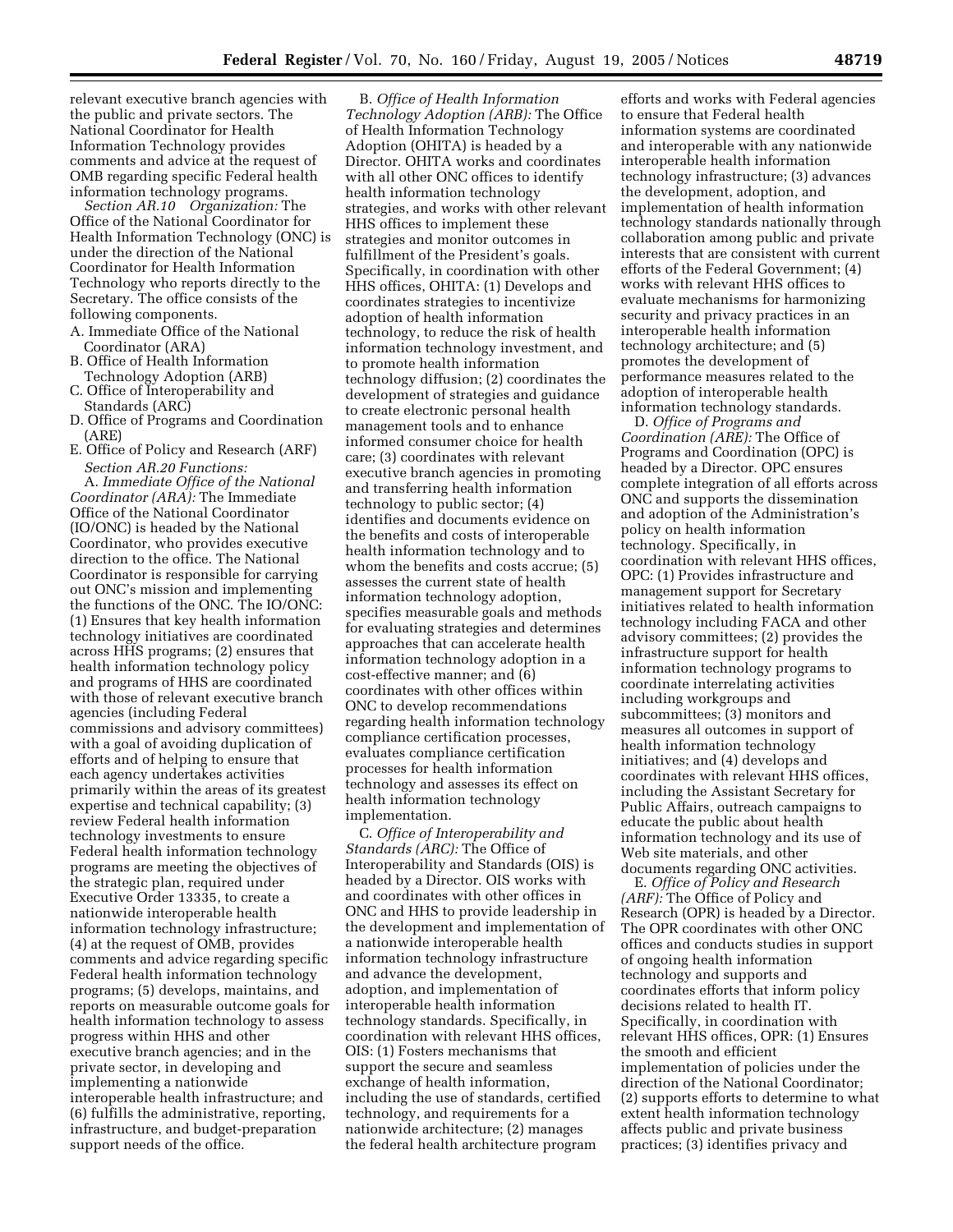relevant executive branch agencies with the public and private sectors. The National Coordinator for Health Information Technology provides comments and advice at the request of OMB regarding specific Federal health information technology programs.

*Section AR.10 Organization:* The Office of the National Coordinator for Health Information Technology (ONC) is under the direction of the National Coordinator for Health Information Technology who reports directly to the Secretary. The office consists of the following components.

- A. Immediate Office of the National Coordinator (ARA)
- B. Office of Health Information Technology Adoption (ARB)
- C. Office of Interoperability and Standards (ARC)
- D. Office of Programs and Coordination (ARE)
- E. Office of Policy and Research (ARF) *Section AR.20 Functions:*

A. *Immediate Office of the National Coordinator (ARA):* The Immediate Office of the National Coordinator (IO/ONC) is headed by the National Coordinator, who provides executive direction to the office. The National Coordinator is responsible for carrying out ONC's mission and implementing the functions of the ONC. The IO/ONC: (1) Ensures that key health information technology initiatives are coordinated across HHS programs; (2) ensures that health information technology policy and programs of HHS are coordinated with those of relevant executive branch agencies (including Federal commissions and advisory committees) with a goal of avoiding duplication of efforts and of helping to ensure that each agency undertakes activities primarily within the areas of its greatest expertise and technical capability; (3) review Federal health information technology investments to ensure Federal health information technology programs are meeting the objectives of the strategic plan, required under Executive Order 13335, to create a nationwide interoperable health information technology infrastructure; (4) at the request of OMB, provides comments and advice regarding specific Federal health information technology programs; (5) develops, maintains, and reports on measurable outcome goals for health information technology to assess progress within HHS and other executive branch agencies; and in the private sector, in developing and implementing a nationwide interoperable health infrastructure; and (6) fulfills the administrative, reporting, infrastructure, and budget-preparation support needs of the office.

B. *Office of Health Information Technology Adoption (ARB):* The Office of Health Information Technology Adoption (OHITA) is headed by a Director. OHITA works and coordinates with all other ONC offices to identify health information technology strategies, and works with other relevant HHS offices to implement these strategies and monitor outcomes in fulfillment of the President's goals. Specifically, in coordination with other HHS offices, OHITA: (1) Develops and coordinates strategies to incentivize adoption of health information technology, to reduce the risk of health information technology investment, and to promote health information technology diffusion; (2) coordinates the development of strategies and guidance to create electronic personal health management tools and to enhance informed consumer choice for health care; (3) coordinates with relevant executive branch agencies in promoting and transferring health information technology to public sector; (4) identifies and documents evidence on the benefits and costs of interoperable health information technology and to whom the benefits and costs accrue; (5) assesses the current state of health information technology adoption, specifies measurable goals and methods for evaluating strategies and determines approaches that can accelerate health information technology adoption in a cost-effective manner; and (6) coordinates with other offices within ONC to develop recommendations regarding health information technology compliance certification processes, evaluates compliance certification processes for health information technology and assesses its effect on health information technology implementation.

C. *Office of Interoperability and Standards (ARC):* The Office of Interoperability and Standards (OIS) is headed by a Director. OIS works with and coordinates with other offices in ONC and HHS to provide leadership in the development and implementation of a nationwide interoperable health information technology infrastructure and advance the development, adoption, and implementation of interoperable health information technology standards. Specifically, in coordination with relevant HHS offices, OIS: (1) Fosters mechanisms that support the secure and seamless exchange of health information, including the use of standards, certified technology, and requirements for a nationwide architecture; (2) manages the federal health architecture program

efforts and works with Federal agencies to ensure that Federal health information systems are coordinated and interoperable with any nationwide interoperable health information technology infrastructure; (3) advances the development, adoption, and implementation of health information technology standards nationally through collaboration among public and private interests that are consistent with current efforts of the Federal Government; (4) works with relevant HHS offices to evaluate mechanisms for harmonizing security and privacy practices in an interoperable health information technology architecture; and (5) promotes the development of performance measures related to the adoption of interoperable health information technology standards.

D. *Office of Programs and Coordination (ARE):* The Office of Programs and Coordination (OPC) is headed by a Director. OPC ensures complete integration of all efforts across ONC and supports the dissemination and adoption of the Administration's policy on health information technology. Specifically, in coordination with relevant HHS offices, OPC: (1) Provides infrastructure and management support for Secretary initiatives related to health information technology including FACA and other advisory committees; (2) provides the infrastructure support for health information technology programs to coordinate interrelating activities including workgroups and subcommittees; (3) monitors and measures all outcomes in support of health information technology initiatives; and (4) develops and coordinates with relevant HHS offices, including the Assistant Secretary for Public Affairs, outreach campaigns to educate the public about health information technology and its use of Web site materials, and other documents regarding ONC activities.

E. *Office of Policy and Research (ARF):* The Office of Policy and Research (OPR) is headed by a Director. The OPR coordinates with other ONC offices and conducts studies in support of ongoing health information technology and supports and coordinates efforts that inform policy decisions related to health IT. Specifically, in coordination with relevant HHS offices, OPR: (1) Ensures the smooth and efficient implementation of policies under the direction of the National Coordinator; (2) supports efforts to determine to what extent health information technology affects public and private business practices; (3) identifies privacy and